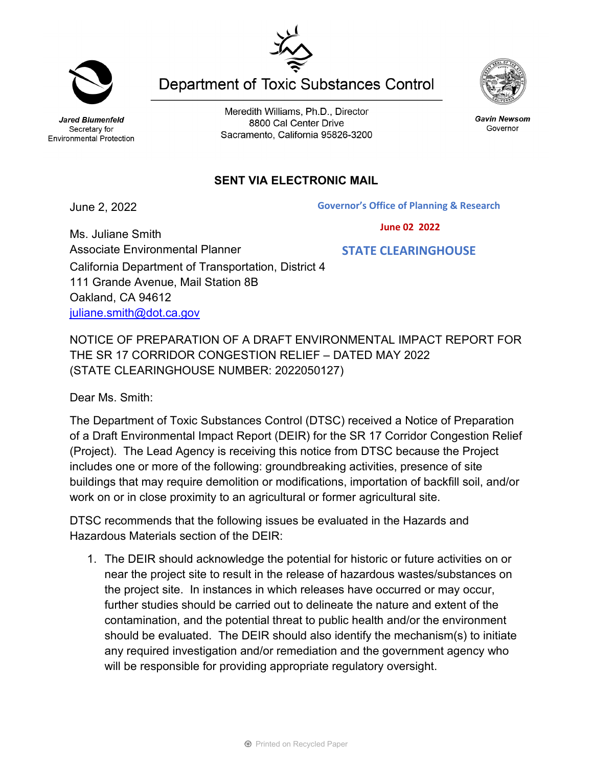Secretary for

Meredith Williams, Ph.D., Director 8800 Cal Center Drive Sacramento, California 95826-3200

**Department of Toxic Substances Control** 

## **SENT VIA ELECTRONIC MAIL**

June 2, 2022

Ms. Juliane Smith

Associate Environmental Planner California Department of Transportation, District 4 111 Grande Avenue, Mail Station 8B Oakland, CA 94612 [juliane.smith@dot.ca.gov](mailto:juliane.smith@dot.ca.gov)  **STATE CLEARINGHOUSE**

NOTICE OF PREPARATION OF A DRAFT ENVIRONMENTAL IMPACT REPORT FOR THE SR 17 CORRIDOR CONGESTION RELIEF – DATED MAY 2022 (STATE CLEARINGHOUSE NUMBER: 2022050127)

Dear Ms. Smith:

The Department of Toxic Substances Control (DTSC) received a Notice of Preparation of a Draft Environmental Impact Report (DEIR) for the SR 17 Corridor Congestion Relief (Project). The Lead Agency is receiving this notice from DTSC because the Project includes one or more of the following: groundbreaking activities, presence of site buildings that may require demolition or modifications, importation of backfill soil, and/or work on or in close proximity to an agricultural or former agricultural site.

DTSC recommends that the following issues be evaluated in the Hazards and Hazardous Materials section of the DEIR:

1. The DEIR should acknowledge the potential for historic or future activities on or near the project site to result in the release of hazardous wastes/substances on the project site. In instances in which releases have occurred or may occur, further studies should be carried out to delineate the nature and extent of the contamination, and the potential threat to public health and/or the environment should be evaluated. The DEIR should also identify the mechanism(s) to initiate any required investigation and/or remediation and the government agency who will be responsible for providing appropriate regulatory oversight.





**Gavin Newsom** 

Governor



Jared Blumenfeld Environmental Protection

> **Governor's Office of Planning & Research June 02 2022**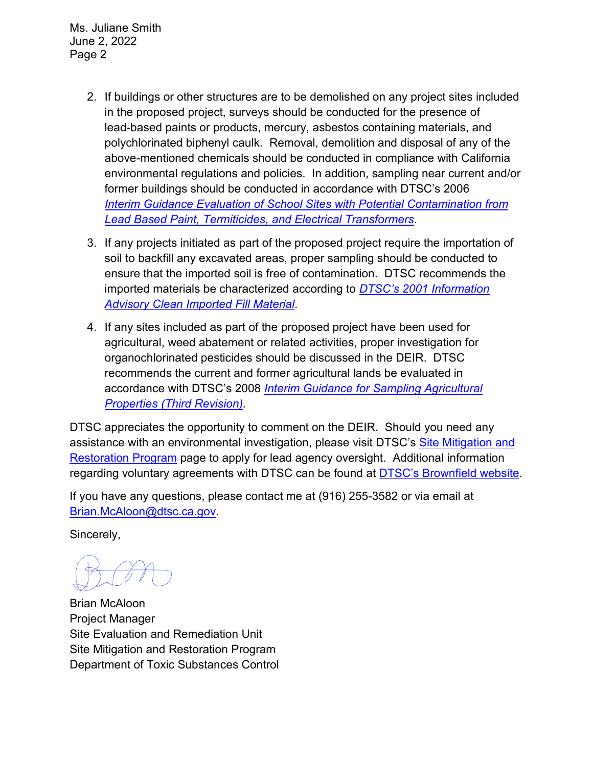Ms. Juliane Smith June 2, 2022 Page 2

- 2. If buildings or other structures are to be demolished on any project sites included in the proposed project, surveys should be conducted for the presence of lead-based paints or products, mercury, asbestos containing materials, and polychlorinated biphenyl caulk. Removal, demolition and disposal of any of the above-mentioned chemicals should be conducted in compliance with California environmental regulations and policies. In addition, sampling near current and/or former buildings should be conducted in accordance with DTSC's 2006 *Interim [Guidance Evaluation of School Sites with Potential Contamination from](https://dtsc.ca.gov/2020/04/17/document-request/?wpf337186_14=https://dtsc.ca.gov/wpcontent/uploads/sites/31/2018/09/Guidance_Lead_%20%20Contamination_050118.pdf)  [Lead Based Paint, Termiticides, and Electrical Transformers](https://dtsc.ca.gov/2020/04/17/document-request/?wpf337186_14=https://dtsc.ca.gov/wpcontent/uploads/sites/31/2018/09/Guidance_Lead_%20%20Contamination_050118.pdf)*.
- 3. If any projects initiated as part of the proposed project require the importation of soil to backfill any excavated areas, proper sampling should be conducted to ensure that the imported soil is free of contamination. DTSC recommends the imported materials be characterized according to *[DTSC's 2001 Information](https://dtsc.ca.gov/wp-content/uploads/sites/31/2018/09/SMP_FS_Cleanfill-Schools.pdf)  [Advisory Clean Imported Fill Material](https://dtsc.ca.gov/wp-content/uploads/sites/31/2018/09/SMP_FS_Cleanfill-Schools.pdf)*.
- 4. If any sites included as part of the proposed project have been used for agricultural, weed abatement or related activities, proper investigation for organochlorinated pesticides should be discussed in the DEIR. DTSC recommends the current and former agricultural lands be evaluated in accordance with DTSC's 2008 *[Interim Guidance for Sampling Agricultural](https://dtsc.ca.gov/wp-content/uploads/sites/31/2018/09/Ag-Guidance-Rev-3-August-7-2008-2.pdf)  [Properties \(Third Revision\).](https://dtsc.ca.gov/wp-content/uploads/sites/31/2018/09/Ag-Guidance-Rev-3-August-7-2008-2.pdf)*

DTSC appreciates the opportunity to comment on the DEIR. Should you need any assistance with an environmental investigation, please visit DTSC's [Site Mitigation and](https://dtsc.ca.gov/brownfields/voluntary-agreements-quick-reference-guide/) [Restoration Program](https://dtsc.ca.gov/brownfields/voluntary-agreements-quick-reference-guide/) page to apply for lead agency oversight. Additional information regarding voluntary agreements with DTSC can be found at **DTSC's Brownfield website**.

If you have any questions, please contact me at (916) 255-3582 or via email at [Brian.McAloon@dtsc.ca.gov.](mailto:Brian.McAloon@dtsc.ca.gov)

Sincerely,

Brian McAloon Project Manager Site Evaluation and Remediation Unit Site Mitigation and Restoration Program Department of Toxic Substances Control